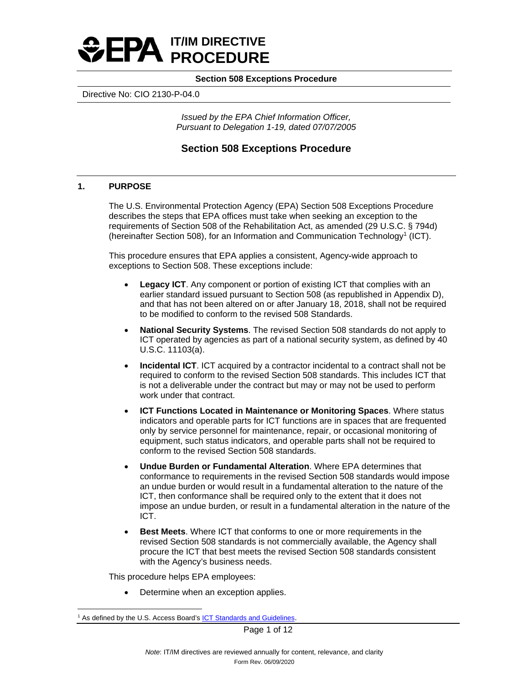<span id="page-0-1"></span>

Directive No: CIO 2130-P-04.0

*Issued by the EPA Chief Information Officer, Pursuant to Delegation 1-19, dated 07/07/2005*

# **Section 508 Exceptions Procedure**

# **1. PURPOSE**

The U.S. Environmental Protection Agency (EPA) Section 508 Exceptions Procedure describes the steps that EPA offices must take when seeking an exception to the requirements of Section 508 of the Rehabilitation Act, as amended (29 U.S.C. § 794d) (hereinafter Section 508), for an Information and Communication Technology<sup>[1](#page-0-0)</sup> (ICT).

This procedure ensures that EPA applies a consistent, Agency-wide approach to exceptions to Section 508. These exceptions include:

- **Legacy ICT**. Any component or portion of existing ICT that complies with an earlier standard issued pursuant to Section 508 (as republished in Appendix D), and that has not been altered on or after January 18, 2018, shall not be required to be modified to conform to the revised 508 Standards.
- **National Security Systems**. The revised Section 508 standards do not apply to ICT operated by agencies as part of a national security system, as defined by 40 U.S.C. 11103(a).
- **Incidental ICT**. ICT acquired by a contractor incidental to a contract shall not be required to conform to the revised Section 508 standards. This includes ICT that is not a deliverable under the contract but may or may not be used to perform work under that contract.
- **ICT Functions Located in Maintenance or Monitoring Spaces**. Where status indicators and operable parts for ICT functions are in spaces that are frequented only by service personnel for maintenance, repair, or occasional monitoring of equipment, such status indicators, and operable parts shall not be required to conform to the revised Section 508 standards.
- **Undue Burden or Fundamental Alteration**. Where EPA determines that conformance to requirements in the revised Section 508 standards would impose an undue burden or would result in a fundamental alteration to the nature of the ICT, then conformance shall be required only to the extent that it does not impose an undue burden, or result in a fundamental alteration in the nature of the ICT.
- **Best Meets**. Where ICT that conforms to one or more requirements in the revised Section 508 standards is not commercially available, the Agency shall procure the ICT that best meets the revised Section 508 standards consistent with the Agency's business needs.

This procedure helps EPA employees:

Determine when an exception applies.

<span id="page-0-0"></span><sup>&</sup>lt;sup>1</sup> As defined by the U.S. Access Board's **ICT Standards and Guidelines**.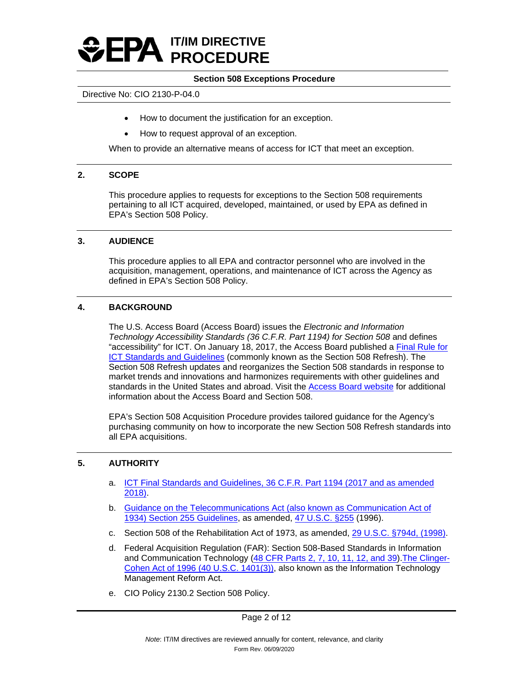

#### Directive No: CIO 2130-P-04.0

- How to document the justification for an exception.
- How to request approval of an exception.

When to provide an alternative means of access for ICT that meet an exception.

#### **2. SCOPE**

This procedure applies to requests for exceptions to the Section 508 requirements pertaining to all ICT acquired, developed, maintained, or used by EPA as defined in EPA's Section 508 Policy.

#### **3. AUDIENCE**

This procedure applies to all EPA and contractor personnel who are involved in the acquisition, management, operations, and maintenance of ICT across the Agency as defined in EPA's Section 508 Policy.

## **4. BACKGROUND**

The U.S. Access Board (Access Board) issues the *Electronic and Information Technology Accessibility Standards (36 C.F.R. Part 1194) for Section 508* and defines "accessibility" for ICT. On January 18, 2017, the Access Board published a [Final Rule for](https://www.access-board.gov/ict/#preamble) [ICT Standards and Guidelines](https://www.access-board.gov/ict/#preamble) (commonly known as the Section 508 Refresh). The Section 508 Refresh updates and reorganizes the Section 508 standards in response to market trends and innovations and harmonizes requirements with other guidelines and standards in the United States and abroad. Visit the [Access Board website](https://www.access-board.gov/ict/) for additional information about the Access Board and Section 508.

EPA's Section 508 Acquisition Procedure provides tailored guidance for the Agency's purchasing community on how to incorporate the new Section 508 Refresh standards into all EPA acquisitions.

#### **5. AUTHORITY**

- a. [ICT Final Standards and Guidelines, 36 C.F.R. Part 1194 \(2017 and as amended](https://www.access-board.gov/ict/)  [2018\).](https://www.access-board.gov/ict/)
- b. [Guidance on the Telecommunications Act \(also known as Communication Act of](https://www.access-board.gov/ict/#255ch1)  [1934\) Section 255 Guidelines,](https://www.access-board.gov/ict/#255ch1) as amended, [47 U.S.C. §255](https://www.govinfo.gov/content/pkg/CFR-2011-title36-vol3/xml/CFR-2011-title36-vol3-part1193.xml) (1996).
- c. Section 508 of the Rehabilitation Act of 1973, as amended, [29 U.S.C. §794d, \(1998\).](https://www.gpo.gov/fdsys/pkg/USCODE-2011-title29/html/USCODE-2011-title29-chap16-subchapV-sec794d.htm)
- d. Federal Acquisition Regulation (FAR): Section 508-Based Standards in Information and Communication Technology [\(48 CFR Parts 2, 7, 10, 11, 12, and 39\)](https://www.federalregister.gov/documents/2021/08/11/2021-16363/federal-acquisition-regulation-section-508-based-standards-in-information-and-communication). The Clinger-[Cohen Act of 1996 \(40 U.S.C. 1401\(3\)\),](https://www.govinfo.gov/content/pkg/USCODE-2011-title40/html/USCODE-2011-title40-subtitleIII.htm) also known as the Information Technology Management Reform Act.
- e. CIO Policy 2130.2 Section 508 Policy.

Page 2 of 12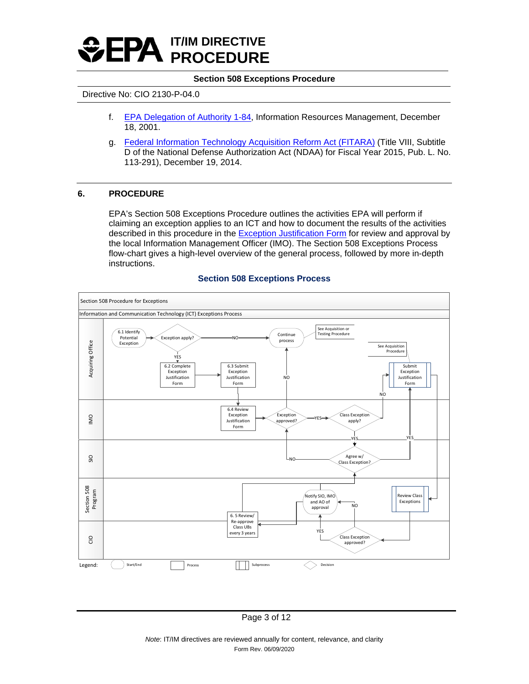

#### Directive No: CIO 2130-P-04.0

- f. [EPA Delegation of Authority 1-84,](http://intranet.epa.gov/ohr/rmpolicy/ads/dm/1-84_534.htm) Information Resources Management, December 18, 2001.
- g. [Federal Information Technology Acquisition Reform Act \(FITARA\)](https://www.congress.gov/113/plaws/publ291/PLAW-113publ291.pdf#page=148) (Title VIII, Subtitle D of the National Defense Authorization Act (NDAA) for Fiscal Year 2015, Pub. L. No. 113-291), December 19, 2014.

#### **6. PROCEDURE**

EPA's Section 508 Exceptions Procedure outlines the activities EPA will perform if claiming an exception applies to an ICT and how to document the results of the activities described in this procedure in the [Exception Justification Form](#page-8-0) for review and approval by the local Information Management Officer (IMO). The Section 508 Exceptions Process flow-chart gives a high-level overview of the general process, followed by more in-depth instructions.

#### **Section 508 Exceptions Process**

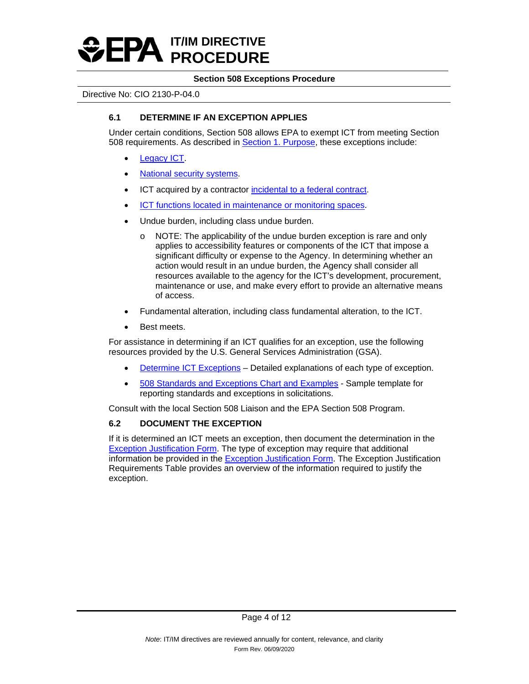

#### Directive No: CIO 2130-P-04.0

## **6.1 DETERMINE IF AN EXCEPTION APPLIES**

Under certain conditions, Section 508 allows EPA to exempt ICT from meeting Section 508 requirements. As described in **Section 1. Purpose**, these exceptions include:

- [Legacy ICT.](#page-7-0)
- [National security systems.](#page-7-1)
- ICT acquired by a contractor [incidental to a federal contract.](#page-8-1)
- [ICT functions located in maintenance or monitoring spaces.](#page-7-2)
- Undue burden, including class undue burden.
	- o NOTE: The applicability of the undue burden exception is rare and only applies to accessibility features or components of the ICT that impose a significant difficulty or expense to the Agency. In determining whether an action would result in an undue burden, the Agency shall consider all resources available to the agency for the ICT's development, procurement, maintenance or use, and make every effort to provide an alternative means of access.
- Fundamental alteration, including class fundamental alteration, to the ICT.
- Best meets.

For assistance in determining if an ICT qualifies for an exception, use the following resources provided by the U.S. General Services Administration (GSA).

- [Determine ICT Exceptions](https://www.section508.gov/buy/determine-ict-exceptions)  Detailed explanations of each type of exception.
- [508 Standards and Exceptions Chart and Examples](https://www.section508.gov/buy/standards-exceptions)  Sample template for reporting standards and exceptions in solicitations.

Consult with the local Section 508 Liaison and the EPA Section 508 Program.

# **6.2 DOCUMENT THE EXCEPTION**

If it is determined an ICT meets an exception, then document the determination in the [Exception Justification Form.](#page-8-0) The type of exception may require that additional information be provided in the [Exception Justification Form.](#page-8-0) The Exception Justification Requirements Table provides an overview of the information required to justify the exception.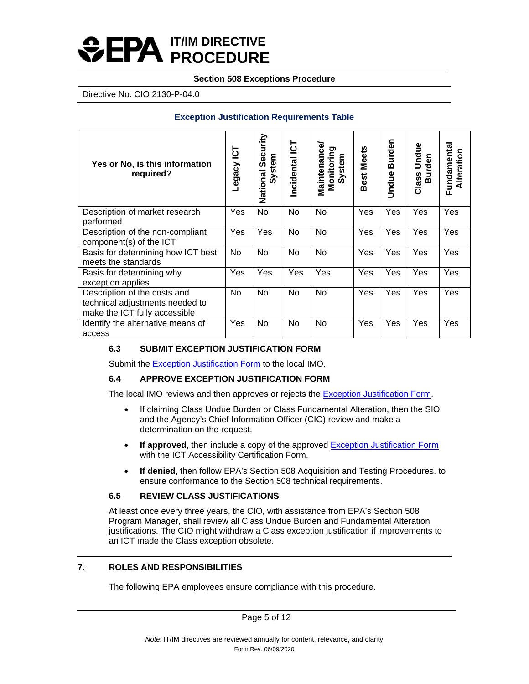# **IT/IM DIRECTIVE PROCEDURE**

## **Section 508 Exceptions Procedure**

Directive No: CIO 2130-P-04.0

# **Exception Justification Requirements Table**

| Yes or No, is this information<br>required?                                                      | <u> 이</u><br>Legacy | urity<br>ت<br>Se<br>System<br>National | <u>51</u><br>Incidental | Maintenance<br>Monitoring<br>System | Best Meets | Burden<br>Undue | Undue<br>Burden<br>Class | Fundamental<br>Alteration |
|--------------------------------------------------------------------------------------------------|---------------------|----------------------------------------|-------------------------|-------------------------------------|------------|-----------------|--------------------------|---------------------------|
| Description of market research<br>performed                                                      | Yes                 | <b>No</b>                              | No                      | <b>No</b>                           | Yes        | Yes             | Yes                      | Yes                       |
| Description of the non-compliant<br>component(s) of the ICT                                      | Yes                 | Yes                                    | <b>No</b>               | <b>No</b>                           | Yes        | Yes             | Yes                      | Yes                       |
| Basis for determining how ICT best<br>meets the standards                                        | No                  | No                                     | <b>No</b>               | No                                  | Yes        | Yes             | Yes                      | Yes                       |
| Basis for determining why<br>exception applies                                                   | Yes                 | Yes                                    | Yes                     | Yes                                 | Yes        | Yes             | Yes                      | Yes                       |
| Description of the costs and<br>technical adjustments needed to<br>make the ICT fully accessible | <b>No</b>           | No                                     | <b>No</b>               | No                                  | Yes        | Yes             | Yes                      | Yes                       |
| Identify the alternative means of<br>access                                                      | Yes                 | No                                     | No                      | No                                  | Yes        | Yes             | Yes                      | Yes                       |

# **6.3 SUBMIT EXCEPTION JUSTIFICATION FORM**

Submit the [Exception Justification Form](#page-8-0) to the local IMO.

# **6.4 APPROVE EXCEPTION JUSTIFICATION FORM**

The local IMO reviews and then approves or rejects the **Exception Justification Form.** 

- If claiming Class Undue Burden or Class Fundamental Alteration, then the SIO and the Agency's Chief Information Officer (CIO) review and make a determination on the request.
- If approved, then include a copy of the approved **Exception Justification Form** with the ICT Accessibility Certification Form.
- **If denied**, then follow EPA's Section 508 Acquisition and Testing Procedures. to ensure conformance to the Section 508 technical requirements.

# **6.5 REVIEW CLASS JUSTIFICATIONS**

At least once every three years, the CIO, with assistance from EPA's Section 508 Program Manager, shall review all Class Undue Burden and Fundamental Alteration justifications. The CIO might withdraw a Class exception justification if improvements to an ICT made the Class exception obsolete.

# **7. ROLES AND RESPONSIBILITIES**

The following EPA employees ensure compliance with this procedure.

Page 5 of 12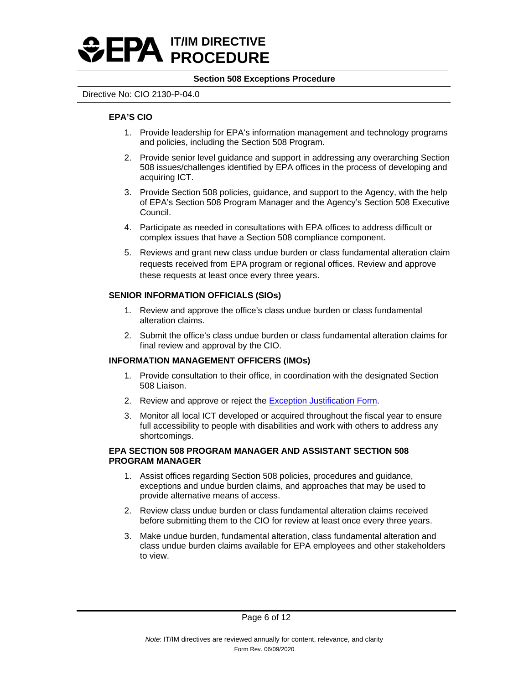

#### Directive No: CIO 2130-P-04.0

#### **EPA'S CIO**

- 1. Provide leadership for EPA's information management and technology programs and policies, including the Section 508 Program.
- 2. Provide senior level guidance and support in addressing any overarching Section 508 issues/challenges identified by EPA offices in the process of developing and acquiring ICT.
- 3. Provide Section 508 policies, guidance, and support to the Agency, with the help of EPA's Section 508 Program Manager and the Agency's Section 508 Executive Council.
- 4. Participate as needed in consultations with EPA offices to address difficult or complex issues that have a Section 508 compliance component.
- 5. Reviews and grant new class undue burden or class fundamental alteration claim requests received from EPA program or regional offices. Review and approve these requests at least once every three years.

## **SENIOR INFORMATION OFFICIALS (SIOs)**

- 1. Review and approve the office's class undue burden or class fundamental alteration claims.
- 2. Submit the office's class undue burden or class fundamental alteration claims for final review and approval by the CIO.

#### **INFORMATION MANAGEMENT OFFICERS (IMOs)**

- 1. Provide consultation to their office, in coordination with the designated Section 508 Liaison.
- 2. Review and approve or reject the [Exception Justification Form.](#page-8-0)
- 3. Monitor all local ICT developed or acquired throughout the fiscal year to ensure full accessibility to people with disabilities and work with others to address any shortcomings.

#### **EPA SECTION 508 PROGRAM MANAGER AND ASSISTANT SECTION 508 PROGRAM MANAGER**

- 1. Assist offices regarding Section 508 policies, procedures and guidance, exceptions and undue burden claims, and approaches that may be used to provide alternative means of access.
- 2. Review class undue burden or class fundamental alteration claims received before submitting them to the CIO for review at least once every three years.
- 3. Make undue burden, fundamental alteration, class fundamental alteration and class undue burden claims available for EPA employees and other stakeholders to view.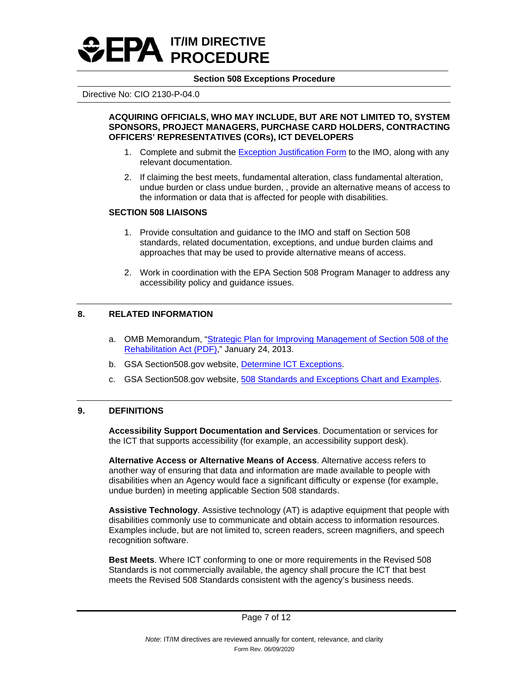

Directive No: CIO 2130-P-04.0

#### **ACQUIRING OFFICIALS, WHO MAY INCLUDE, BUT ARE NOT LIMITED TO, SYSTEM SPONSORS, PROJECT MANAGERS, PURCHASE CARD HOLDERS, CONTRACTING OFFICERS' REPRESENTATIVES (CORs), ICT DEVELOPERS**

- 1. Complete and submit the [Exception Justification Form](#page-8-0) to the IMO, along with any relevant documentation.
- 2. If claiming the best meets, fundamental alteration, class fundamental alteration, undue burden or class undue burden, , provide an alternative means of access to the information or data that is affected for people with disabilities.

#### **SECTION 508 LIAISONS**

- 1. Provide consultation and guidance to the IMO and staff on Section 508 standards, related documentation, exceptions, and undue burden claims and approaches that may be used to provide alternative means of access.
- 2. Work in coordination with the EPA Section 508 Program Manager to address any accessibility policy and guidance issues.

# **8. RELATED INFORMATION**

- a. OMB Memorandum, ["Strategic Plan for Improving Management of Section 508 of the](https://obamawhitehouse.archives.gov/sites/default/files/omb/procurement/memo/strategic-plan-508-compliance.pdf)  [Rehabilitation Act \(PDF\),](https://obamawhitehouse.archives.gov/sites/default/files/omb/procurement/memo/strategic-plan-508-compliance.pdf)" January 24, 2013.
- b. GSA Section508.gov website, [Determine ICT Exceptions.](https://www.section508.gov/buy/determine-ict-exceptions)
- c. GSA Section508.gov website, [508 Standards and Exceptions Chart and Examples.](https://www.section508.gov/buy/standards-exceptions)

#### **9. DEFINITIONS**

**Accessibility Support Documentation and Services**. Documentation or services for the ICT that supports accessibility (for example, an accessibility support desk).

**Alternative Access or Alternative Means of Access**. Alternative access refers to another way of ensuring that data and information are made available to people with disabilities when an Agency would face a significant difficulty or expense (for example, undue burden) in meeting applicable Section 508 standards.

**Assistive Technology**. Assistive technology (AT) is adaptive equipment that people with disabilities commonly use to communicate and obtain access to information resources. Examples include, but are not limited to, screen readers, screen magnifiers, and speech recognition software.

**Best Meets**. Where ICT conforming to one or more requirements in the Revised 508 Standards is not commercially available, the agency shall procure the ICT that best meets the Revised 508 Standards consistent with the agency's business needs.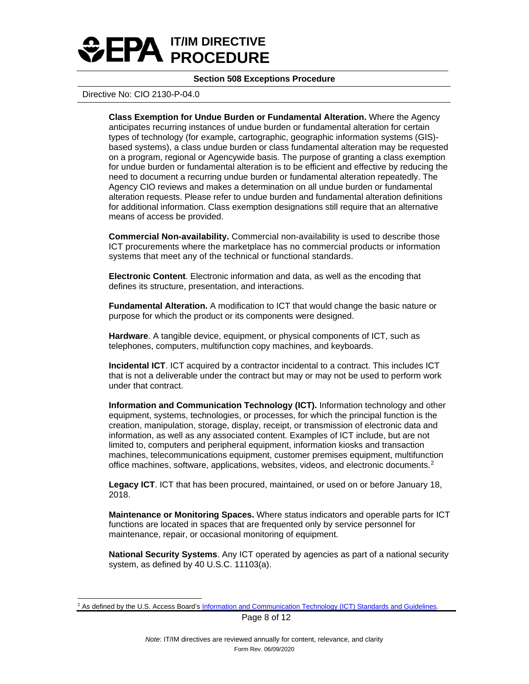

#### Directive No: CIO 2130-P-04.0

**Class Exemption for Undue Burden or Fundamental Alteration.** Where the Agency anticipates recurring instances of undue burden or fundamental alteration for certain types of technology (for example, cartographic, geographic information systems (GIS) based systems), a class undue burden or class fundamental alteration may be requested on a program, regional or Agencywide basis. The purpose of granting a class exemption for undue burden or fundamental alteration is to be efficient and effective by reducing the need to document a recurring undue burden or fundamental alteration repeatedly. The Agency CIO reviews and makes a determination on all undue burden or fundamental alteration requests. Please refer to undue burden and fundamental alteration definitions for additional information. Class exemption designations still require that an alternative means of access be provided.

**Commercial Non-availability.** Commercial non-availability is used to describe those ICT procurements where the marketplace has no commercial products or information systems that meet any of the technical or functional standards.

**Electronic Content**. Electronic information and data, as well as the encoding that defines its structure, presentation, and interactions.

**Fundamental Alteration.** A modification to ICT that would change the basic nature or purpose for which the product or its components were designed.

**Hardware**. A tangible device, equipment, or physical components of ICT, such as telephones, computers, multifunction copy machines, and keyboards.

**Incidental ICT**. ICT acquired by a contractor incidental to a contract. This includes ICT that is not a deliverable under the contract but may or may not be used to perform work under that contract.

**Information and Communication Technology (ICT).** Information technology and other equipment, systems, technologies, or processes, for which the principal function is the creation, manipulation, storage, display, receipt, or transmission of electronic data and information, as well as any associated content. Examples of ICT include, but are not limited to, computers and peripheral equipment, information kiosks and transaction machines, telecommunications equipment, customer premises equipment, multifunction office machines, software, applications, websites, videos, and electronic documents.[2](#page-7-3)

<span id="page-7-0"></span>**Legacy ICT**. ICT that has been procured, maintained, or used on or before January 18, 2018.

<span id="page-7-2"></span>**Maintenance or Monitoring Spaces.** Where status indicators and operable parts for ICT functions are located in spaces that are frequented only by service personnel for maintenance, repair, or occasional monitoring of equipment.

<span id="page-7-1"></span>**National Security Systems**. Any ICT operated by agencies as part of a national security system, as defined by 40 U.S.C. 11103(a).

Page 8 of 12

<span id="page-7-3"></span><sup>&</sup>lt;sup>2</sup> As defined by the U.S. Access Board's [Information and Communication Technology \(ICT\) Standards and Guidelines.](https://www.access-board.gov/ict/)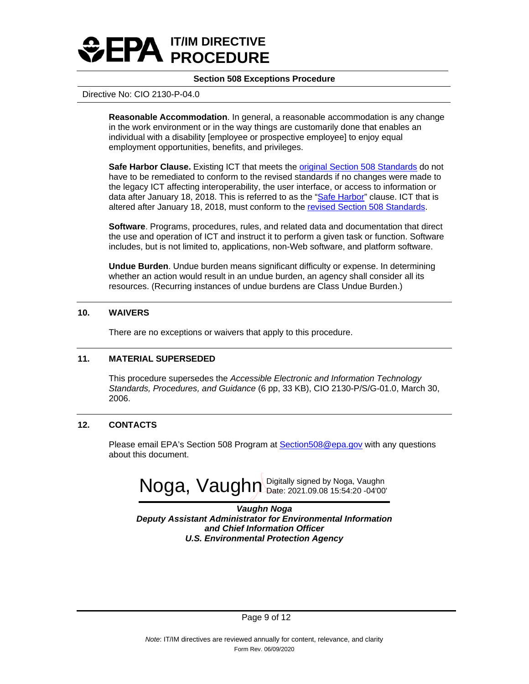<span id="page-8-1"></span>

#### Directive No: CIO 2130-P-04.0

**Reasonable Accommodation**. In general, a reasonable accommodation is any change in the work environment or in the way things are customarily done that enables an individual with a disability [employee or prospective employee] to enjoy equal employment opportunities, benefits, and privileges.

**Safe Harbor Clause.** Existing ICT that meets the [original Section 508 Standards](https://www.access-board.gov/ict/#original508) do not have to be remediated to conform to the revised standards if no changes were made to the legacy ICT affecting interoperability, the user interface, or access to information or data after January 18, 2018. This is referred to as the ["Safe Harbor"](https://www.access-board.gov/ict/#6-extended-compliance-date-and-incorporation-of-safe-harbor-prov) clause. ICT that is altered after January 18, 2018, must conform to the [revised Section 508 Standards.](https://www.access-board.gov/ict/#preamble) 

**Software**. Programs, procedures, rules, and related data and documentation that direct the use and operation of ICT and instruct it to perform a given task or function. Software includes, but is not limited to, applications, non-Web software, and platform software.

**Undue Burden**. Undue burden means significant difficulty or expense. In determining whether an action would result in an undue burden, an agency shall consider all its resources. (Recurring instances of undue burdens are Class Undue Burden.)

#### **10. WAIVERS**

There are no exceptions or waivers that apply to this procedure.

#### **11. MATERIAL SUPERSEDED**

This procedure supersedes the *Accessible Electronic and Information Technology Standards, Procedures, and Guidance* (6 pp, 33 KB), CIO 2130-P/S/G-01.0, March 30, 2006.

#### **12. CONTACTS**

Please email EPA's Section 508 Program at [Section508@epa.gov](mailto:Section508@epa.gov) with any questions about this document.



<span id="page-8-0"></span>*Vaughn Noga Deputy Assistant Administrator for Environmental Information and Chief Information Officer U.S. Environmental Protection Agency*

Page 9 of 12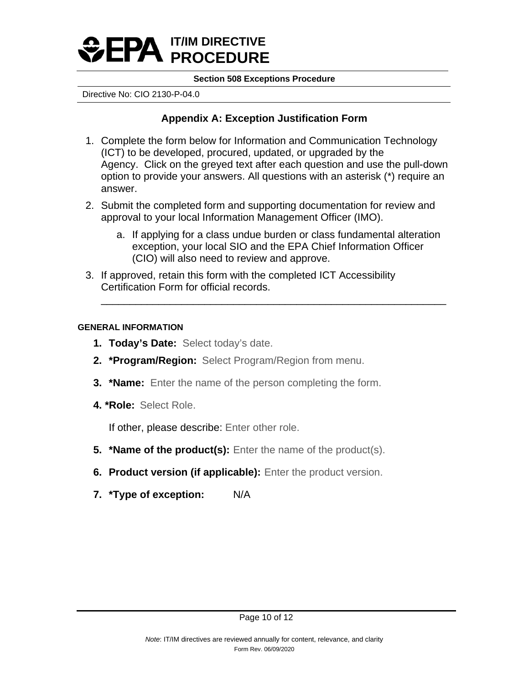

Directive No: CIO 2130-P-04.0

# **Appendix A: Exception Justification Form**

- 1. Complete the form below for Information and Communication Technology (ICT) to be developed, procured, updated, or upgraded by the Agency. Click on the greyed text after each question and use the pull-down option to provide your answers. All questions with an asterisk (\*) require an answer.
- 2. Submit the completed form and supporting documentation for review and approval to your local Information Management Officer (IMO).
	- a. If applying for a class undue burden or class fundamental alteration exception, your local SIO and the EPA Chief Information Officer (CIO) will also need to review and approve.

\_\_\_\_\_\_\_\_\_\_\_\_\_\_\_\_\_\_\_\_\_\_\_\_\_\_\_\_\_\_\_\_\_\_\_\_\_\_\_\_\_\_\_\_\_\_\_\_\_\_\_\_\_\_\_\_\_\_\_\_

3. If approved, retain this form with the completed ICT Accessibility Certification Form for official records.

# **GENERAL INFORMATION**

- **1. Today's Date:** Select today's date.
- **2. \*Program/Region:** Select Program/Region from menu.
- **3. \*Name:** Enter the name of the person completing the form.
- **4. \*Role:** Select Role.

If other, please describe: Enter other role.

- **5. \*Name of the product(s):** Enter the name of the product(s).
- **6. Product version (if applicable):** Enter the product version.
- **7. \*Type of exception:** N/A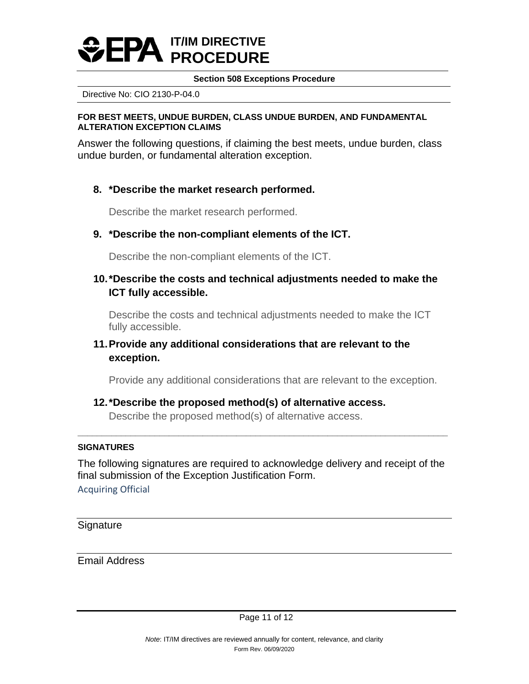

Directive No: CIO 2130-P-04.0

## **FOR BEST MEETS, UNDUE BURDEN, CLASS UNDUE BURDEN, AND FUNDAMENTAL ALTERATION EXCEPTION CLAIMS**

Answer the following questions, if claiming the best meets, undue burden, class undue burden, or fundamental alteration exception.

# **8. \*Describe the market research performed.**

Describe the market research performed.

# **9. \*Describe the non-compliant elements of the ICT.**

Describe the non-compliant elements of the ICT.

# **10.\*Describe the costs and technical adjustments needed to make the ICT fully accessible.**

Describe the costs and technical adjustments needed to make the ICT fully accessible.

# **11.Provide any additional considerations that are relevant to the exception.**

Provide any additional considerations that are relevant to the exception.

# **12.\*Describe the proposed method(s) of alternative access.** Describe the proposed method(s) of alternative access.

# **SIGNATURES**

The following signatures are required to acknowledge delivery and receipt of the final submission of the Exception Justification Form.

**\_\_\_\_\_\_\_\_\_\_\_\_\_\_\_\_\_\_\_\_\_\_\_\_\_\_\_\_\_\_\_\_\_\_\_\_\_\_\_\_\_\_\_\_\_\_\_\_\_\_\_\_\_\_\_\_\_\_\_\_\_\_\_\_\_\_\_\_\_\_\_\_\_\_\_\_\_**

Acquiring Official

**Signature** 

Email Address